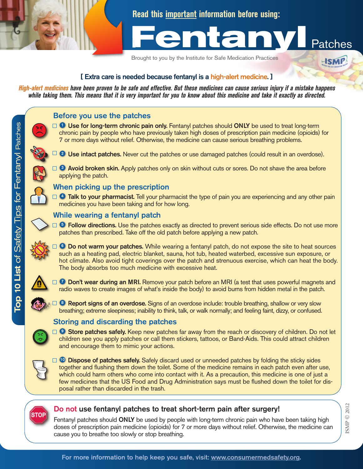**Read this important information before using:**



**HSMP** 

Brought to you by the Institute for Safe Medication Practices



High-alert medicines have been proven to be safe and effective. But these medicines can cause serious injury if a mistake happens while taking them. This means that it is very important for you to know about this medicine and take it exactly as directed.



Ŵ

For more information to help keep you safe, visit: www.consumermedsafety.org.